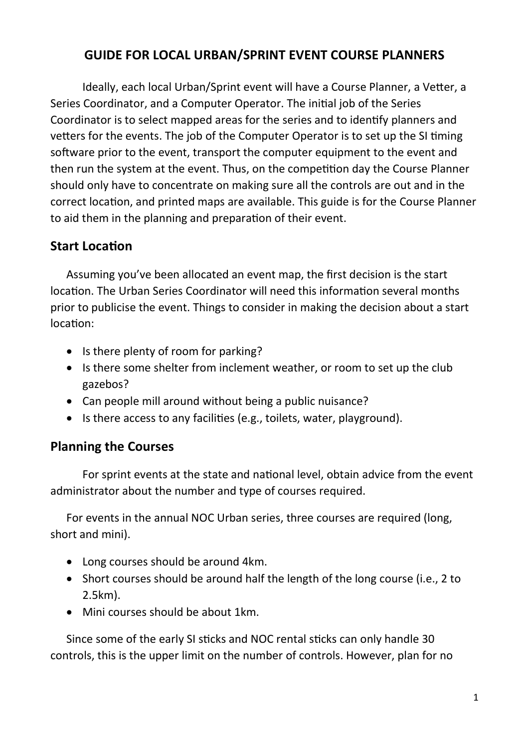## GUIDE FOR LOCAL URBAN/SPRINT EVENT COURSE PLANNERS

Ideally, each local Urban/Sprint event will have a Course Planner, a Vetter, a Series Coordinator, and a Computer Operator. The initial job of the Series Coordinator is to select mapped areas for the series and to identify planners and vetters for the events. The job of the Computer Operator is to set up the SI timing software prior to the event, transport the computer equipment to the event and then run the system at the event. Thus, on the competition day the Course Planner should only have to concentrate on making sure all the controls are out and in the correct location, and printed maps are available. This guide is for the Course Planner to aid them in the planning and preparation of their event.

#### **Start Location**

Assuming you've been allocated an event map, the first decision is the start location. The Urban Series Coordinator will need this information several months prior to publicise the event. Things to consider in making the decision about a start location:

- Is there plenty of room for parking?
- Is there some shelter from inclement weather, or room to set up the club gazebos?
- Can people mill around without being a public nuisance?
- Is there access to any facilities (e.g., toilets, water, playground).

# Planning the Courses

For sprint events at the state and national level, obtain advice from the event administrator about the number and type of courses required.

For events in the annual NOC Urban series, three courses are required (long, short and mini).

- Long courses should be around 4km.
- Short courses should be around half the length of the long course (i.e., 2 to 2.5km).
- Mini courses should be about 1km.

Since some of the early SI sticks and NOC rental sticks can only handle 30 controls, this is the upper limit on the number of controls. However, plan for no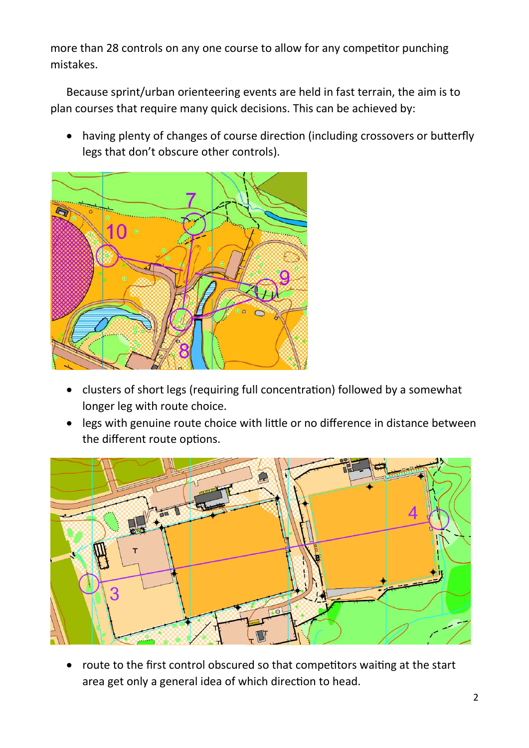more than 28 controls on any one course to allow for any competitor punching mistakes.

Because sprint/urban orienteering events are held in fast terrain, the aim is to plan courses that require many quick decisions. This can be achieved by:

• having plenty of changes of course direction (including crossovers or butterfly legs that don't obscure other controls).



- clusters of short legs (requiring full concentration) followed by a somewhat longer leg with route choice.
- legs with genuine route choice with little or no difference in distance between the different route options.



route to the first control obscured so that competitors waiting at the start area get only a general idea of which direction to head.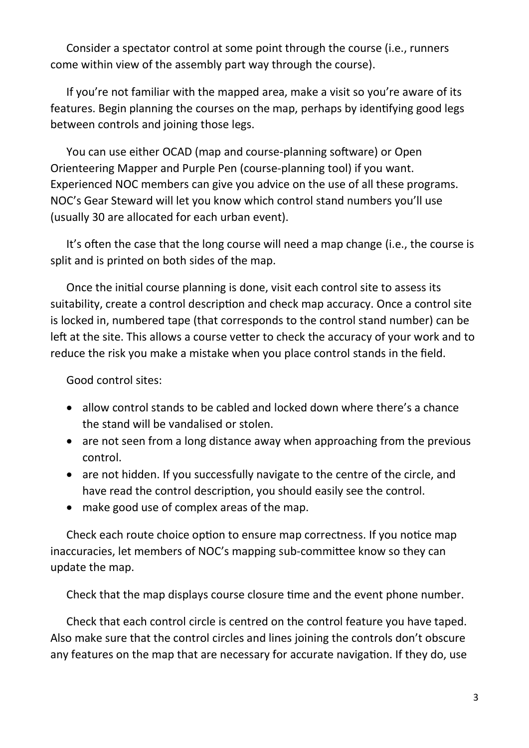Consider a spectator control at some point through the course (i.e., runners come within view of the assembly part way through the course).

If you're not familiar with the mapped area, make a visit so you're aware of its features. Begin planning the courses on the map, perhaps by identifying good legs between controls and joining those legs.

You can use either OCAD (map and course-planning software) or Open Orienteering Mapper and Purple Pen (course-planning tool) if you want. Experienced NOC members can give you advice on the use of all these programs. NOC's Gear Steward will let you know which control stand numbers you'll use (usually 30 are allocated for each urban event).

It's often the case that the long course will need a map change (i.e., the course is split and is printed on both sides of the map.

Once the initial course planning is done, visit each control site to assess its suitability, create a control description and check map accuracy. Once a control site is locked in, numbered tape (that corresponds to the control stand number) can be left at the site. This allows a course vetter to check the accuracy of your work and to reduce the risk you make a mistake when you place control stands in the field.

Good control sites:

- allow control stands to be cabled and locked down where there's a chance the stand will be vandalised or stolen.
- are not seen from a long distance away when approaching from the previous control.
- are not hidden. If you successfully navigate to the centre of the circle, and have read the control description, you should easily see the control.
- make good use of complex areas of the map.

Check each route choice option to ensure map correctness. If you notice map inaccuracies, let members of NOC's mapping sub-committee know so they can update the map.

Check that the map displays course closure time and the event phone number.

Check that each control circle is centred on the control feature you have taped. Also make sure that the control circles and lines joining the controls don't obscure any features on the map that are necessary for accurate navigation. If they do, use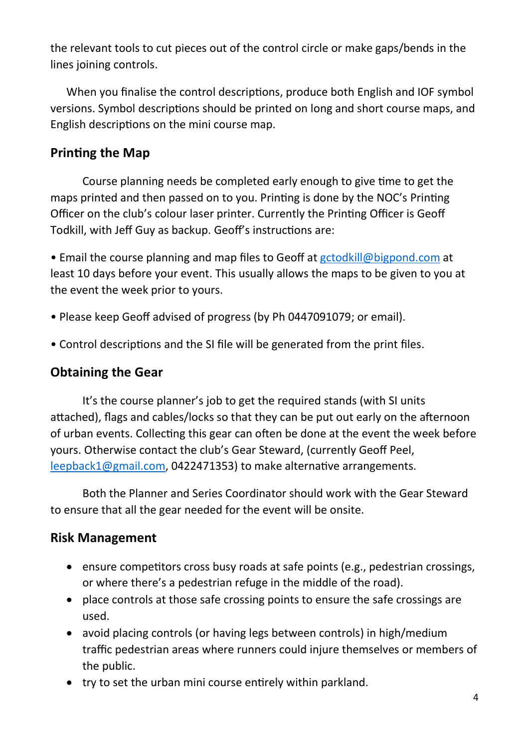the relevant tools to cut pieces out of the control circle or make gaps/bends in the lines joining controls.

When you finalise the control descriptions, produce both English and IOF symbol versions. Symbol descriptions should be printed on long and short course maps, and English descriptions on the mini course map.

## Printing the Map

Course planning needs be completed early enough to give time to get the maps printed and then passed on to you. Printing is done by the NOC's Printing Officer on the club's colour laser printer. Currently the Printing Officer is Geoff Todkill, with Jeff Guy as backup. Geoff's instructions are:

• Email the course planning and map files to Geoff at gctodkill@bigpond.com at least 10 days before your event. This usually allows the maps to be given to you at the event the week prior to yours.

- Please keep Geoff advised of progress (by Ph 0447091079; or email).
- Control descriptions and the SI file will be generated from the print files.

#### Obtaining the Gear

It's the course planner's job to get the required stands (with SI units attached), flags and cables/locks so that they can be put out early on the afternoon of urban events. Collecting this gear can often be done at the event the week before yours. Otherwise contact the club's Gear Steward, (currently Geoff Peel, leepback1@gmail.com, 0422471353) to make alternative arrangements.

Both the Planner and Series Coordinator should work with the Gear Steward to ensure that all the gear needed for the event will be onsite.

#### Risk Management

- ensure competitors cross busy roads at safe points (e.g., pedestrian crossings, or where there's a pedestrian refuge in the middle of the road).
- place controls at those safe crossing points to ensure the safe crossings are used.
- avoid placing controls (or having legs between controls) in high/medium traffic pedestrian areas where runners could injure themselves or members of the public.
- try to set the urban mini course entirely within parkland.